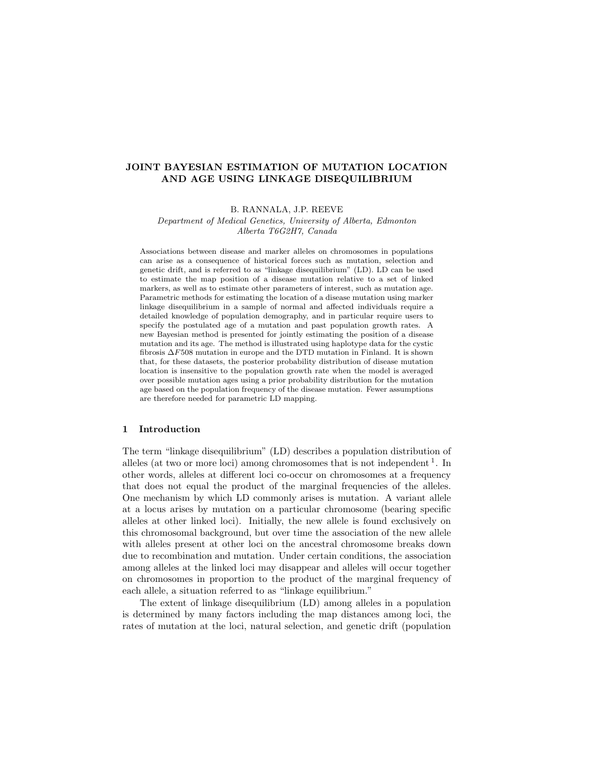# JOINT BAYESIAN ESTIMATION OF MUTATION LOCATION AND AGE USING LINKAGE DISEQUILIBRIUM

B. RANNALA, J.P. REEVE Department of Medical Genetics, University of Alberta, Edmonton Alberta T6G2H7, Canada

Associations between disease and marker alleles on chromosomes in populations can arise as a consequence of historical forces such as mutation, selection and genetic drift, and is referred to as "linkage disequilibrium" (LD). LD can be used to estimate the map position of a disease mutation relative to a set of linked markers, as well as to estimate other parameters of interest, such as mutation age. Parametric methods for estimating the location of a disease mutation using marker linkage disequilibrium in a sample of normal and affected individuals require a detailed knowledge of population demography, and in particular require users to specify the postulated age of a mutation and past population growth rates. A new Bayesian method is presented for jointly estimating the position of a disease mutation and its age. The method is illustrated using haplotype data for the cystic fibrosis ∆F508 mutation in europe and the DTD mutation in Finland. It is shown that, for these datasets, the posterior probability distribution of disease mutation location is insensitive to the population growth rate when the model is averaged over possible mutation ages using a prior probability distribution for the mutation age based on the population frequency of the disease mutation. Fewer assumptions are therefore needed for parametric LD mapping.

#### 1 Introduction

The term "linkage disequilibrium" (LD) describes a population distribution of alleles (at two or more loci) among chromosomes that is not independent  $<sup>1</sup>$ . In</sup> other words, alleles at different loci co-occur on chromosomes at a frequency that does not equal the product of the marginal frequencies of the alleles. One mechanism by which LD commonly arises is mutation. A variant allele at a locus arises by mutation on a particular chromosome (bearing specific alleles at other linked loci). Initially, the new allele is found exclusively on this chromosomal background, but over time the association of the new allele with alleles present at other loci on the ancestral chromosome breaks down due to recombination and mutation. Under certain conditions, the association among alleles at the linked loci may disappear and alleles will occur together on chromosomes in proportion to the product of the marginal frequency of each allele, a situation referred to as "linkage equilibrium."

The extent of linkage disequilibrium (LD) among alleles in a population is determined by many factors including the map distances among loci, the rates of mutation at the loci, natural selection, and genetic drift (population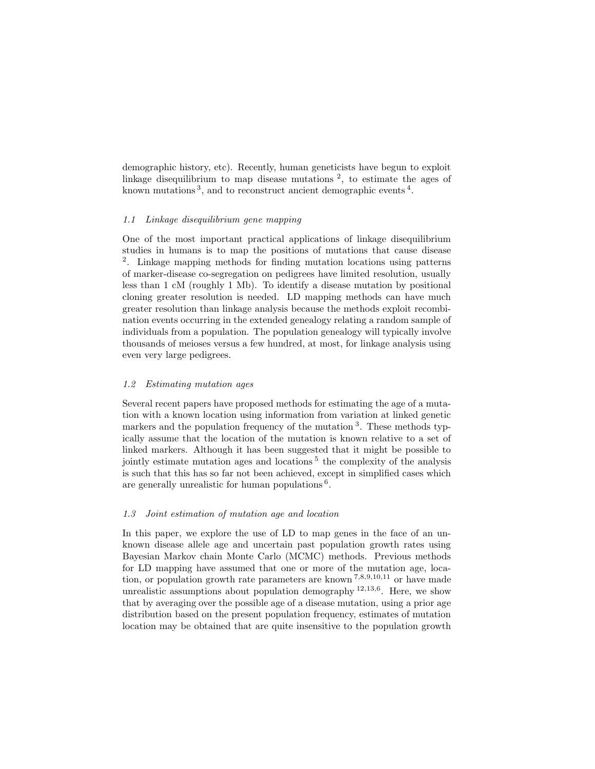demographic history, etc). Recently, human geneticists have begun to exploit linkage disequilibrium to map disease mutations<sup>2</sup>, to estimate the ages of known mutations<sup>3</sup>, and to reconstruct ancient demographic events<sup>4</sup>.

### 1.1 Linkage disequilibrium gene mapping

One of the most important practical applications of linkage disequilibrium studies in humans is to map the positions of mutations that cause disease 2 . Linkage mapping methods for finding mutation locations using patterns of marker-disease co-segregation on pedigrees have limited resolution, usually less than 1 cM (roughly 1 Mb). To identify a disease mutation by positional cloning greater resolution is needed. LD mapping methods can have much greater resolution than linkage analysis because the methods exploit recombination events occurring in the extended genealogy relating a random sample of individuals from a population. The population genealogy will typically involve thousands of meioses versus a few hundred, at most, for linkage analysis using even very large pedigrees.

# 1.2 Estimating mutation ages

Several recent papers have proposed methods for estimating the age of a mutation with a known location using information from variation at linked genetic markers and the population frequency of the mutation<sup>3</sup>. These methods typically assume that the location of the mutation is known relative to a set of linked markers. Although it has been suggested that it might be possible to jointly estimate mutation ages and locations<sup>5</sup> the complexity of the analysis is such that this has so far not been achieved, except in simplified cases which are generally unrealistic for human populations<sup>6</sup>.

### 1.3 Joint estimation of mutation age and location

In this paper, we explore the use of LD to map genes in the face of an unknown disease allele age and uncertain past population growth rates using Bayesian Markov chain Monte Carlo (MCMC) methods. Previous methods for LD mapping have assumed that one or more of the mutation age, location, or population growth rate parameters are known  $^{7,8,9,10,11}$  or have made unrealistic assumptions about population demography <sup>12,13,6</sup>. Here, we show that by averaging over the possible age of a disease mutation, using a prior age distribution based on the present population frequency, estimates of mutation location may be obtained that are quite insensitive to the population growth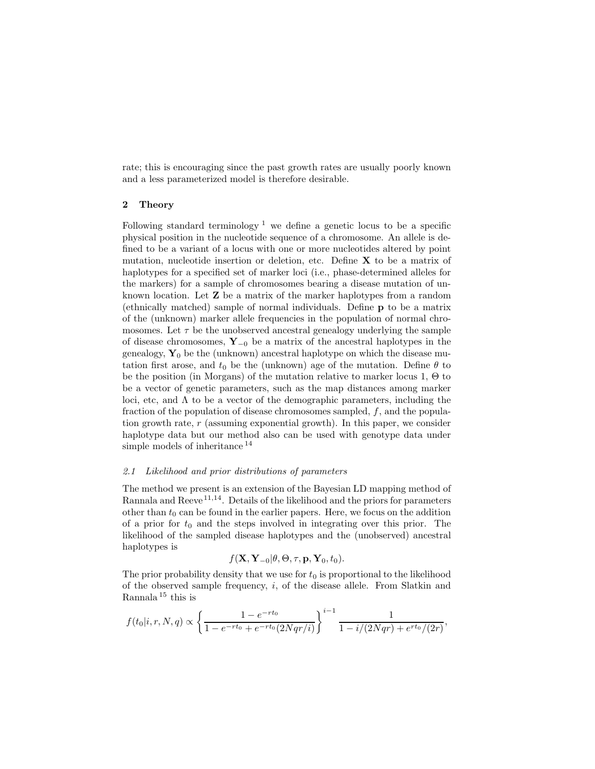rate; this is encouraging since the past growth rates are usually poorly known and a less parameterized model is therefore desirable.

### 2 Theory

Following standard terminology<sup>1</sup> we define a genetic locus to be a specific physical position in the nucleotide sequence of a chromosome. An allele is defined to be a variant of a locus with one or more nucleotides altered by point mutation, nucleotide insertion or deletion, etc. Define  $X$  to be a matrix of haplotypes for a specified set of marker loci (i.e., phase-determined alleles for the markers) for a sample of chromosomes bearing a disease mutation of unknown location. Let Z be a matrix of the marker haplotypes from a random (ethnically matched) sample of normal individuals. Define p to be a matrix of the (unknown) marker allele frequencies in the population of normal chromosomes. Let  $\tau$  be the unobserved ancestral genealogy underlying the sample of disease chromosomes, Y<sup>−</sup><sup>0</sup> be a matrix of the ancestral haplotypes in the genealogy,  $\mathbf{Y}_0$  be the (unknown) ancestral haplotype on which the disease mutation first arose, and  $t_0$  be the (unknown) age of the mutation. Define  $\theta$  to be the position (in Morgans) of the mutation relative to marker locus 1, Θ to be a vector of genetic parameters, such as the map distances among marker loci, etc, and  $\Lambda$  to be a vector of the demographic parameters, including the fraction of the population of disease chromosomes sampled,  $f$ , and the population growth rate,  $r$  (assuming exponential growth). In this paper, we consider haplotype data but our method also can be used with genotype data under simple models of inheritance <sup>14</sup>

### 2.1 Likelihood and prior distributions of parameters

The method we present is an extension of the Bayesian LD mapping method of Rannala and Reeve<sup>11,14</sup>. Details of the likelihood and the priors for parameters other than  $t_0$  can be found in the earlier papers. Here, we focus on the addition of a prior for  $t_0$  and the steps involved in integrating over this prior. The likelihood of the sampled disease haplotypes and the (unobserved) ancestral haplotypes is

$$
f(\mathbf{X}, \mathbf{Y}_{-0} | \theta, \Theta, \tau, \mathbf{p}, \mathbf{Y}_0, t_0).
$$

The prior probability density that we use for  $t_0$  is proportional to the likelihood of the observed sample frequency,  $i$ , of the disease allele. From Slatkin and Rannala <sup>15</sup> this is

$$
f(t_0|i,r,N,q) \propto \left\{ \frac{1 - e^{-rt_0}}{1 - e^{-rt_0} + e^{-rt_0}(2Nqr/i)} \right\}^{i-1} \frac{1}{1 - i/(2Nqr) + e^{rt_0}/(2r)},
$$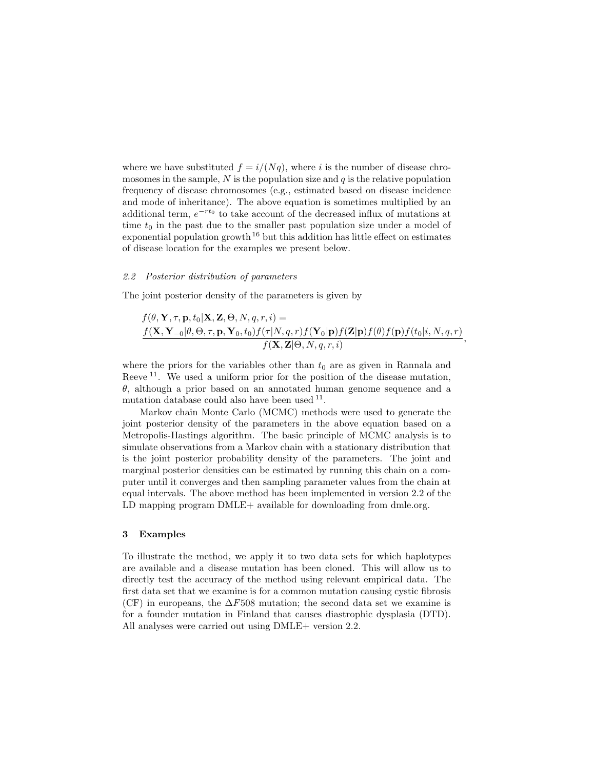where we have substituted  $f = i/(Nq)$ , where i is the number of disease chromosomes in the sample,  $N$  is the population size and  $q$  is the relative population frequency of disease chromosomes (e.g., estimated based on disease incidence and mode of inheritance). The above equation is sometimes multiplied by an additional term,  $e^{-rt_0}$  to take account of the decreased influx of mutations at time  $t_0$  in the past due to the smaller past population size under a model of exponential population growth  $16$  but this addition has little effect on estimates of disease location for the examples we present below.

### 2.2 Posterior distribution of parameters

The joint posterior density of the parameters is given by

$$
f(\theta, \mathbf{Y}, \tau, \mathbf{p}, t_0 | \mathbf{X}, \mathbf{Z}, \Theta, N, q, r, i) =
$$
  

$$
\frac{f(\mathbf{X}, \mathbf{Y}_{-0} | \theta, \Theta, \tau, \mathbf{p}, \mathbf{Y}_0, t_0) f(\tau | N, q, r) f(\mathbf{Y}_0 | \mathbf{p}) f(\mathbf{Z} | \mathbf{p}) f(\theta) f(\mathbf{p}) f(t_0 | i, N, q, r)}{f(\mathbf{X}, \mathbf{Z} | \Theta, N, q, r, i)},
$$

where the priors for the variables other than  $t_0$  are as given in Rannala and Reeve<sup>11</sup>. We used a uniform prior for the position of the disease mutation,  $\theta$ , although a prior based on an annotated human genome sequence and a mutation database could also have been used <sup>11</sup>.

Markov chain Monte Carlo (MCMC) methods were used to generate the joint posterior density of the parameters in the above equation based on a Metropolis-Hastings algorithm. The basic principle of MCMC analysis is to simulate observations from a Markov chain with a stationary distribution that is the joint posterior probability density of the parameters. The joint and marginal posterior densities can be estimated by running this chain on a computer until it converges and then sampling parameter values from the chain at equal intervals. The above method has been implemented in version 2.2 of the LD mapping program DMLE+ available for downloading from dmle.org.

# 3 Examples

To illustrate the method, we apply it to two data sets for which haplotypes are available and a disease mutation has been cloned. This will allow us to directly test the accuracy of the method using relevant empirical data. The first data set that we examine is for a common mutation causing cystic fibrosis (CF) in europeans, the  $\Delta F508$  mutation; the second data set we examine is for a founder mutation in Finland that causes diastrophic dysplasia (DTD). All analyses were carried out using DMLE+ version 2.2.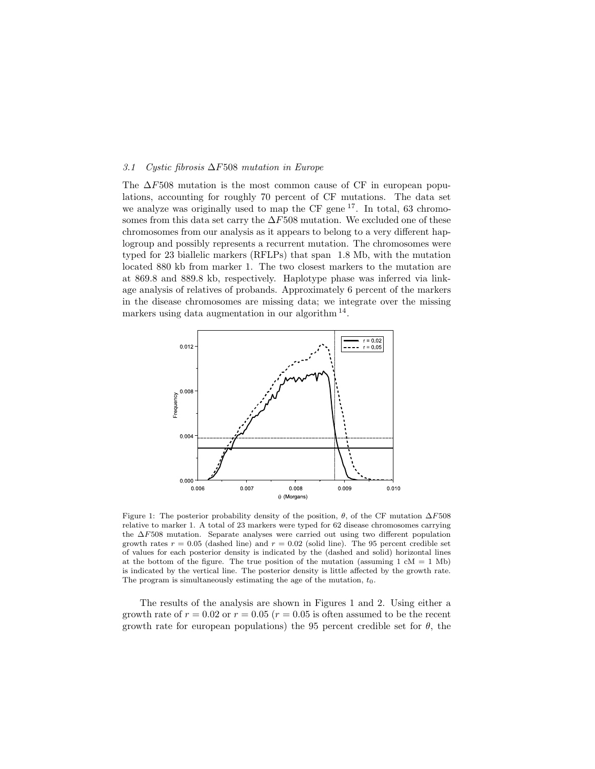### 3.1 Cystic fibrosis ∆F508 mutation in Europe

The  $\Delta F508$  mutation is the most common cause of CF in european populations, accounting for roughly 70 percent of CF mutations. The data set we analyze was originally used to map the CF gene <sup>17</sup>. In total, 63 chromosomes from this data set carry the  $\Delta F508$  mutation. We excluded one of these chromosomes from our analysis as it appears to belong to a very different haplogroup and possibly represents a recurrent mutation. The chromosomes were typed for 23 biallelic markers (RFLPs) that span 1.8 Mb, with the mutation located 880 kb from marker 1. The two closest markers to the mutation are at 869.8 and 889.8 kb, respectively. Haplotype phase was inferred via linkage analysis of relatives of probands. Approximately 6 percent of the markers in the disease chromosomes are missing data; we integrate over the missing markers using data augmentation in our algorithm <sup>14</sup>.



Figure 1: The posterior probability density of the position,  $\theta$ , of the CF mutation  $\Delta F508$ relative to marker 1. A total of 23 markers were typed for 62 disease chromosomes carrying the ∆F508 mutation. Separate analyses were carried out using two different population growth rates  $r = 0.05$  (dashed line) and  $r = 0.02$  (solid line). The 95 percent credible set of values for each posterior density is indicated by the (dashed and solid) horizontal lines at the bottom of the figure. The true position of the mutation (assuming  $1 \text{ cM} = 1 \text{ Mb}$ ) is indicated by the vertical line. The posterior density is little affected by the growth rate. The program is simultaneously estimating the age of the mutation,  $t_0$ .

The results of the analysis are shown in Figures 1 and 2. Using either a growth rate of  $r = 0.02$  or  $r = 0.05$  ( $r = 0.05$  is often assumed to be the recent growth rate for european populations) the 95 percent credible set for  $\theta$ , the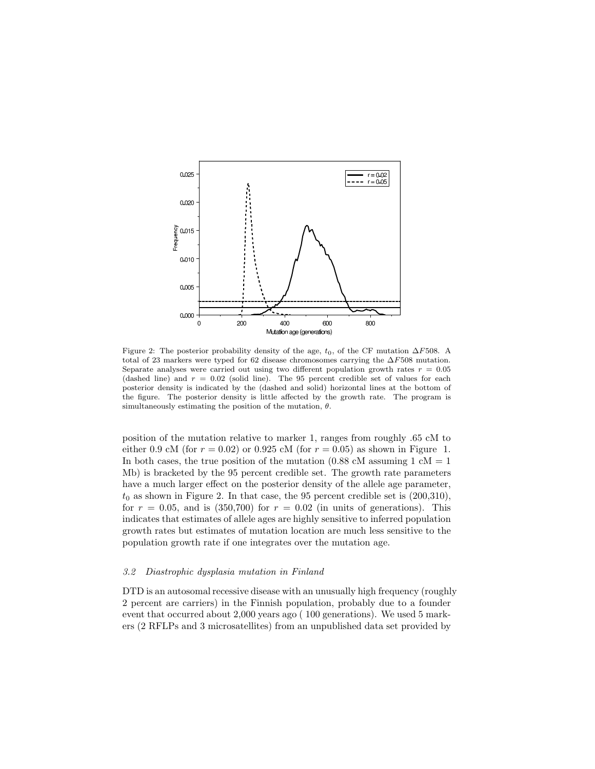

Figure 2: The posterior probability density of the age,  $t_0$ , of the CF mutation  $\Delta F508$ . A total of 23 markers were typed for 62 disease chromosomes carrying the  $\Delta F508$  mutation. Separate analyses were carried out using two different population growth rates  $r = 0.05$ (dashed line) and  $r = 0.02$  (solid line). The 95 percent credible set of values for each posterior density is indicated by the (dashed and solid) horizontal lines at the bottom of the figure. The posterior density is little affected by the growth rate. The program is simultaneously estimating the position of the mutation,  $\theta$ .

position of the mutation relative to marker 1, ranges from roughly .65 cM to either 0.9 cM (for  $r = 0.02$ ) or 0.925 cM (for  $r = 0.05$ ) as shown in Figure 1. In both cases, the true position of the mutation  $(0.88 \text{ cM}$  assuming 1 cM = 1 Mb) is bracketed by the 95 percent credible set. The growth rate parameters have a much larger effect on the posterior density of the allele age parameter,  $t_0$  as shown in Figure 2. In that case, the 95 percent credible set is  $(200,310)$ , for  $r = 0.05$ , and is (350,700) for  $r = 0.02$  (in units of generations). This indicates that estimates of allele ages are highly sensitive to inferred population growth rates but estimates of mutation location are much less sensitive to the population growth rate if one integrates over the mutation age.

### 3.2 Diastrophic dysplasia mutation in Finland

DTD is an autosomal recessive disease with an unusually high frequency (roughly 2 percent are carriers) in the Finnish population, probably due to a founder event that occurred about 2,000 years ago ( 100 generations). We used 5 markers (2 RFLPs and 3 microsatellites) from an unpublished data set provided by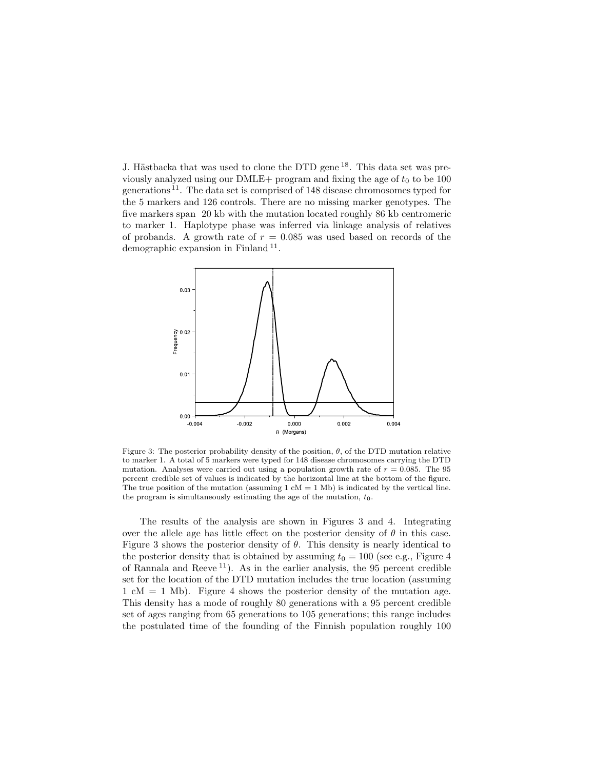J. Hästbacka that was used to clone the DTD gene <sup>18</sup>. This data set was previously analyzed using our DMLE+ program and fixing the age of  $t_0$  to be 100 generations <sup>11</sup> . The data set is comprised of 148 disease chromosomes typed for the 5 markers and 126 controls. There are no missing marker genotypes. The five markers span 20 kb with the mutation located roughly 86 kb centromeric to marker 1. Haplotype phase was inferred via linkage analysis of relatives of probands. A growth rate of  $r = 0.085$  was used based on records of the demographic expansion in Finland<sup>11</sup>.



Figure 3: The posterior probability density of the position,  $\theta$ , of the DTD mutation relative to marker 1. A total of 5 markers were typed for 148 disease chromosomes carrying the DTD mutation. Analyses were carried out using a population growth rate of  $r = 0.085$ . The 95 percent credible set of values is indicated by the horizontal line at the bottom of the figure. The true position of the mutation (assuming  $1 \text{ cM} = 1 \text{ Mb}$ ) is indicated by the vertical line. the program is simultaneously estimating the age of the mutation,  $t_0$ .

The results of the analysis are shown in Figures 3 and 4. Integrating over the allele age has little effect on the posterior density of  $\theta$  in this case. Figure 3 shows the posterior density of  $\theta$ . This density is nearly identical to the posterior density that is obtained by assuming  $t_0 = 100$  (see e.g., Figure 4 of Rannala and Reeve <sup>11</sup>). As in the earlier analysis, the 95 percent credible set for the location of the DTD mutation includes the true location (assuming  $1 \text{ cM} = 1 \text{ Mb}$ . Figure 4 shows the posterior density of the mutation age. This density has a mode of roughly 80 generations with a 95 percent credible set of ages ranging from 65 generations to 105 generations; this range includes the postulated time of the founding of the Finnish population roughly 100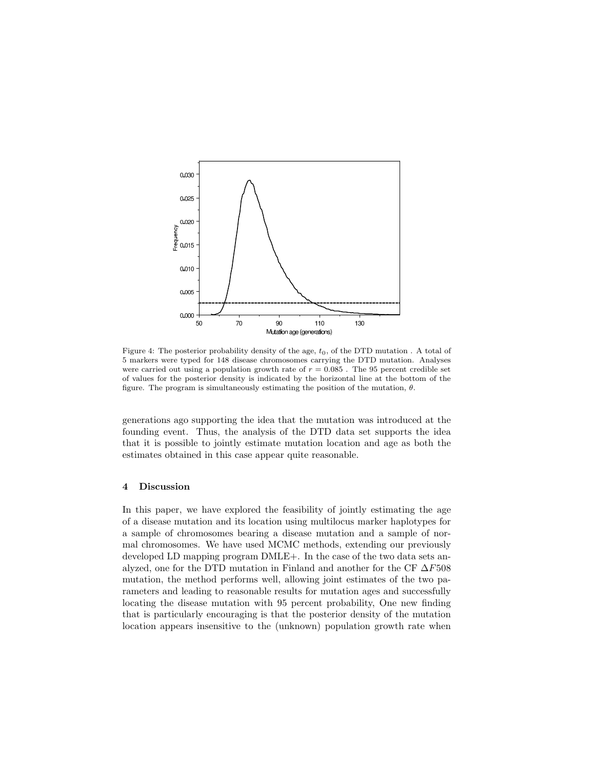

Figure 4: The posterior probability density of the age,  $t_0$ , of the DTD mutation. A total of 5 markers were typed for 148 disease chromosomes carrying the DTD mutation. Analyses were carried out using a population growth rate of  $r = 0.085$ . The 95 percent credible set of values for the posterior density is indicated by the horizontal line at the bottom of the figure. The program is simultaneously estimating the position of the mutation,  $\theta$ .

generations ago supporting the idea that the mutation was introduced at the founding event. Thus, the analysis of the DTD data set supports the idea that it is possible to jointly estimate mutation location and age as both the estimates obtained in this case appear quite reasonable.

# 4 Discussion

In this paper, we have explored the feasibility of jointly estimating the age of a disease mutation and its location using multilocus marker haplotypes for a sample of chromosomes bearing a disease mutation and a sample of normal chromosomes. We have used MCMC methods, extending our previously developed LD mapping program DMLE+. In the case of the two data sets analyzed, one for the DTD mutation in Finland and another for the CF  $\Delta F508$ mutation, the method performs well, allowing joint estimates of the two parameters and leading to reasonable results for mutation ages and successfully locating the disease mutation with 95 percent probability, One new finding that is particularly encouraging is that the posterior density of the mutation location appears insensitive to the (unknown) population growth rate when